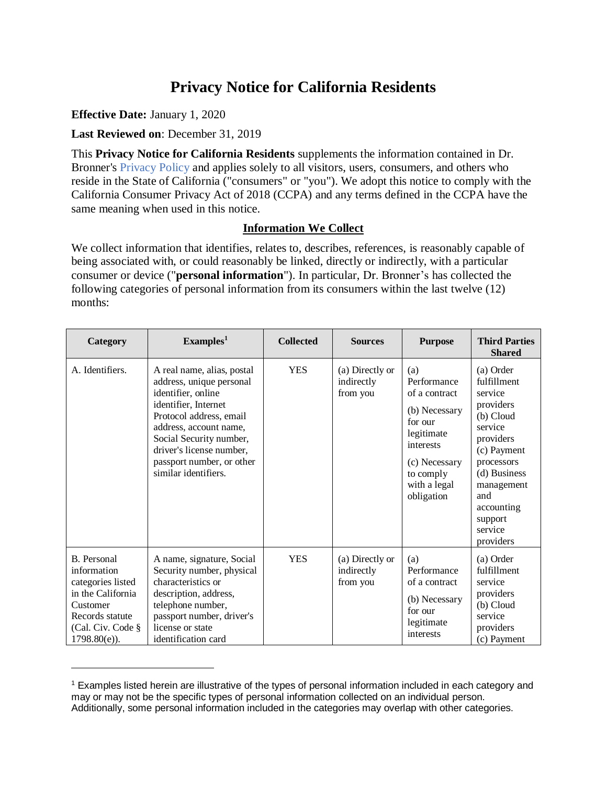# **Privacy Notice for California Residents**

**Effective Date:** January 1, 2020

 $\overline{a}$ 

 **Last Reviewed on**: December 31, 2019

 This **Privacy Notice for California Residents** supplements the information contained in Dr. Bronner's [Privacy Policy](https://www.drbronner.com/privacy/) and applies solely to all visitors, users, consumers, and others who reside in the State of California ("consumers" or "you"). We adopt this notice to comply with the California Consumer Privacy Act of 2018 (CCPA) and any terms defined in the CCPA have the same meaning when used in this notice.

#### **Information We Collect**

 We collect information that identifies, relates to, describes, references, is reasonably capable of being associated with, or could reasonably be linked, directly or indirectly, with a particular consumer or device ("**personal information**"). In particular, Dr. Bronner's has collected the following categories of personal information from its consumers within the last twelve (12) months:

| Category                                                                                                                                           | Examples <sup>1</sup>                                                                                                                                                                                                                                                 | <b>Collected</b> | <b>Sources</b>                            | <b>Purpose</b>                                                                                                                                         | <b>Third Parties</b><br><b>Shared</b>                                                                                                                                                                    |
|----------------------------------------------------------------------------------------------------------------------------------------------------|-----------------------------------------------------------------------------------------------------------------------------------------------------------------------------------------------------------------------------------------------------------------------|------------------|-------------------------------------------|--------------------------------------------------------------------------------------------------------------------------------------------------------|----------------------------------------------------------------------------------------------------------------------------------------------------------------------------------------------------------|
| A. Identifiers.                                                                                                                                    | A real name, alias, postal<br>address, unique personal<br>identifier, online<br>identifier, Internet<br>Protocol address, email<br>address, account name,<br>Social Security number,<br>driver's license number,<br>passport number, or other<br>similar identifiers. | <b>YES</b>       | (a) Directly or<br>indirectly<br>from you | (a)<br>Performance<br>of a contract<br>(b) Necessary<br>for our<br>legitimate<br>interests<br>(c) Necessary<br>to comply<br>with a legal<br>obligation | (a) Order<br>fulfillment<br>service<br>providers<br>(b) Cloud<br>service<br>providers<br>(c) Payment<br>processors<br>(d) Business<br>management<br>and<br>accounting<br>support<br>service<br>providers |
| <b>B.</b> Personal<br>information<br>categories listed<br>in the California<br>Customer<br>Records statute<br>(Cal. Civ. Code §<br>$1798.80(e)$ ). | A name, signature, Social<br>Security number, physical<br>characteristics or<br>description, address,<br>telephone number,<br>passport number, driver's<br>license or state<br>identification card                                                                    | <b>YES</b>       | (a) Directly or<br>indirectly<br>from you | (a)<br>Performance<br>of a contract<br>(b) Necessary<br>for our<br>legitimate<br>interests                                                             | (a) Order<br>fulfillment<br>service<br>providers<br>(b) Cloud<br>service<br>providers<br>(c) Payment                                                                                                     |

<sup>&</sup>lt;sup>1</sup> Examples listed herein are illustrative of the types of personal information included in each category and may or may not be the specific types of personal information collected on an individual person. Additionally, some personal information included in the categories may overlap with other categories.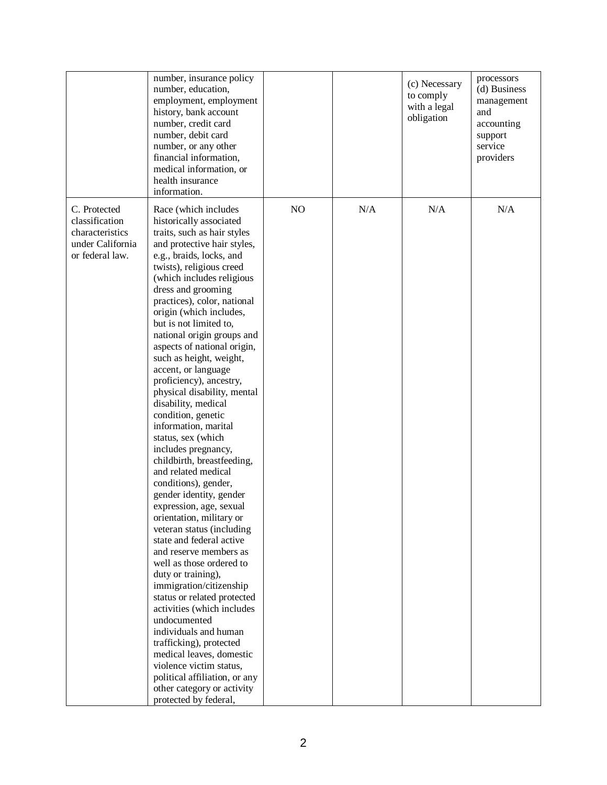|                                                                                          | number, insurance policy<br>number, education,<br>employment, employment<br>history, bank account<br>number, credit card<br>number, debit card<br>number, or any other<br>financial information,<br>medical information, or<br>health insurance<br>information.                                                                                                                                                                                                                                                                                                                                                                                                                                                                                                                                                                                                                                                                                                                                                                                                                                                                                                                                                        |    |     | (c) Necessary<br>to comply<br>with a legal<br>obligation | processors<br>(d) Business<br>management<br>and<br>accounting<br>support<br>service<br>providers |
|------------------------------------------------------------------------------------------|------------------------------------------------------------------------------------------------------------------------------------------------------------------------------------------------------------------------------------------------------------------------------------------------------------------------------------------------------------------------------------------------------------------------------------------------------------------------------------------------------------------------------------------------------------------------------------------------------------------------------------------------------------------------------------------------------------------------------------------------------------------------------------------------------------------------------------------------------------------------------------------------------------------------------------------------------------------------------------------------------------------------------------------------------------------------------------------------------------------------------------------------------------------------------------------------------------------------|----|-----|----------------------------------------------------------|--------------------------------------------------------------------------------------------------|
| C. Protected<br>classification<br>characteristics<br>under California<br>or federal law. | Race (which includes<br>historically associated<br>traits, such as hair styles<br>and protective hair styles,<br>e.g., braids, locks, and<br>twists), religious creed<br>(which includes religious<br>dress and grooming<br>practices), color, national<br>origin (which includes,<br>but is not limited to,<br>national origin groups and<br>aspects of national origin,<br>such as height, weight,<br>accent, or language<br>proficiency), ancestry,<br>physical disability, mental<br>disability, medical<br>condition, genetic<br>information, marital<br>status, sex (which<br>includes pregnancy,<br>childbirth, breastfeeding,<br>and related medical<br>conditions), gender,<br>gender identity, gender<br>expression, age, sexual<br>orientation, military or<br>veteran status (including<br>state and federal active<br>and reserve members as<br>well as those ordered to<br>duty or training),<br>immigration/citizenship<br>status or related protected<br>activities (which includes<br>undocumented<br>individuals and human<br>trafficking), protected<br>medical leaves, domestic<br>violence victim status,<br>political affiliation, or any<br>other category or activity<br>protected by federal, | NO | N/A | N/A                                                      | N/A                                                                                              |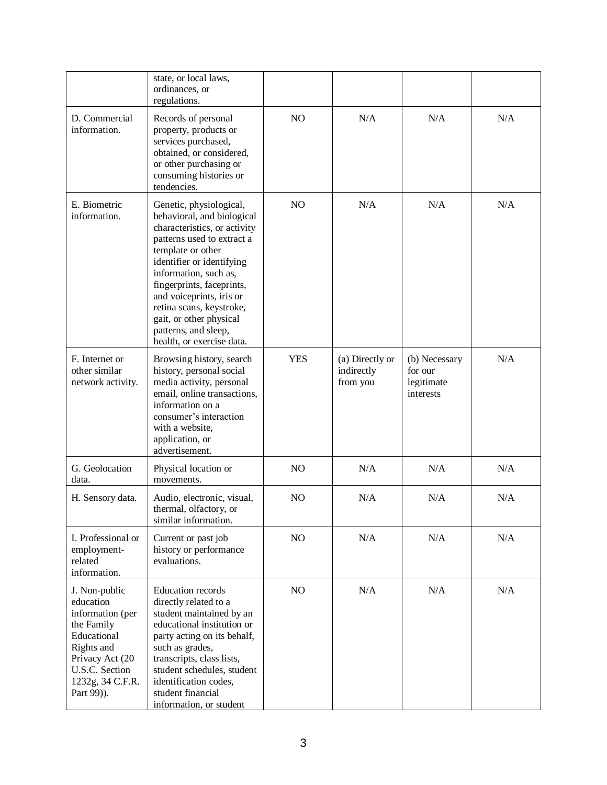|                                                                                                                                                                  | state, or local laws,<br>ordinances, or<br>regulations.                                                                                                                                                                                                                                                                                                             |                |                                           |                                                     |     |
|------------------------------------------------------------------------------------------------------------------------------------------------------------------|---------------------------------------------------------------------------------------------------------------------------------------------------------------------------------------------------------------------------------------------------------------------------------------------------------------------------------------------------------------------|----------------|-------------------------------------------|-----------------------------------------------------|-----|
| D. Commercial<br>information.                                                                                                                                    | Records of personal<br>property, products or<br>services purchased,<br>obtained, or considered,<br>or other purchasing or<br>consuming histories or<br>tendencies.                                                                                                                                                                                                  | NO             | N/A                                       | N/A                                                 | N/A |
| E. Biometric<br>information.                                                                                                                                     | Genetic, physiological,<br>behavioral, and biological<br>characteristics, or activity<br>patterns used to extract a<br>template or other<br>identifier or identifying<br>information, such as,<br>fingerprints, faceprints,<br>and voiceprints, iris or<br>retina scans, keystroke,<br>gait, or other physical<br>patterns, and sleep,<br>health, or exercise data. | N <sub>O</sub> | N/A                                       | N/A                                                 | N/A |
| F. Internet or<br>other similar<br>network activity.                                                                                                             | Browsing history, search<br>history, personal social<br>media activity, personal<br>email, online transactions,<br>information on a<br>consumer's interaction<br>with a website,<br>application, or<br>advertisement.                                                                                                                                               | <b>YES</b>     | (a) Directly or<br>indirectly<br>from you | (b) Necessary<br>for our<br>legitimate<br>interests | N/A |
| G. Geolocation<br>data.                                                                                                                                          | Physical location or<br>movements.                                                                                                                                                                                                                                                                                                                                  | N <sub>O</sub> | N/A                                       | N/A                                                 | N/A |
| H. Sensory data.                                                                                                                                                 | Audio, electronic, visual,<br>thermal, olfactory, or<br>similar information.                                                                                                                                                                                                                                                                                        | NO             | N/A                                       | N/A                                                 | N/A |
| I. Professional or<br>employment-<br>related<br>information.                                                                                                     | Current or past job<br>history or performance<br>evaluations.                                                                                                                                                                                                                                                                                                       | NO             | N/A                                       | N/A                                                 | N/A |
| J. Non-public<br>education<br>information (per<br>the Family<br>Educational<br>Rights and<br>Privacy Act (20<br>U.S.C. Section<br>1232g, 34 C.F.R.<br>Part 99)). | <b>Education</b> records<br>directly related to a<br>student maintained by an<br>educational institution or<br>party acting on its behalf,<br>such as grades,<br>transcripts, class lists,<br>student schedules, student<br>identification codes,<br>student financial<br>information, or student                                                                   | NO             | N/A                                       | N/A                                                 | N/A |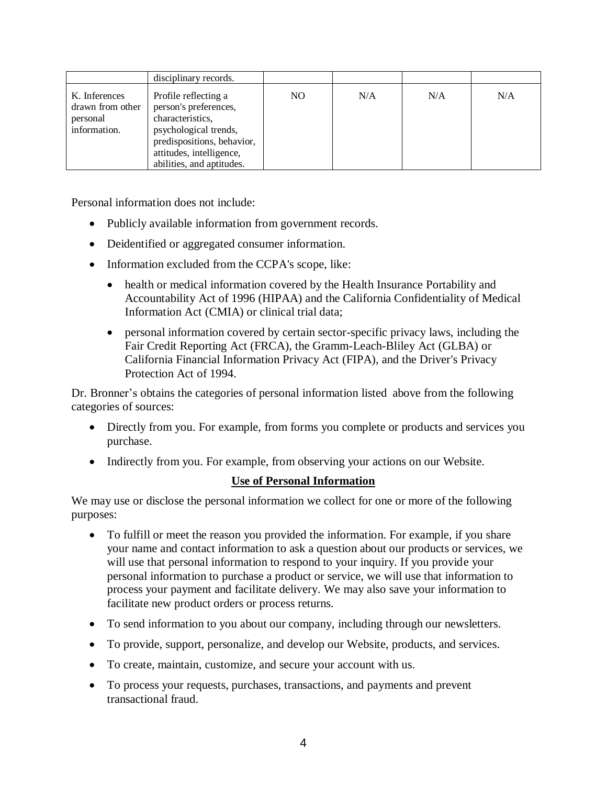|                                                               | disciplinary records.                                                                                                                                                             |     |     |     |     |
|---------------------------------------------------------------|-----------------------------------------------------------------------------------------------------------------------------------------------------------------------------------|-----|-----|-----|-----|
| K. Inferences<br>drawn from other<br>personal<br>information. | Profile reflecting a<br>person's preferences,<br>characteristics,<br>psychological trends,<br>predispositions, behavior,<br>attitudes, intelligence,<br>abilities, and aptitudes. | NO. | N/A | N/A | N/A |

Personal information does not include:

- Publicly available information from government records.
- Deidentified or aggregated consumer information.
- • Information excluded from the CCPA's scope, like:
	- • health or medical information covered by the Health Insurance Portability and Accountability Act of 1996 (HIPAA) and the California Confidentiality of Medical Information Act (CMIA) or clinical trial data;
	- • personal information covered by certain sector-specific privacy laws, including the Fair Credit Reporting Act (FRCA), the Gramm-Leach-Bliley Act (GLBA) or California Financial Information Privacy Act (FIPA), and the Driver's Privacy Protection Act of 1994.

 Dr. Bronner's obtains the categories of personal information listed above from the following categories of sources:

- • Directly from you. For example, from forms you complete or products and services you purchase.
- Indirectly from you. For example, from observing your actions on our Website.

#### **Use of Personal Information**

 We may use or disclose the personal information we collect for one or more of the following purposes:

- • To fulfill or meet the reason you provided the information. For example, if you share your name and contact information to ask a question about our products or services, we will use that personal information to respond to your inquiry. If you provide your personal information to purchase a product or service, we will use that information to process your payment and facilitate delivery. We may also save your information to facilitate new product orders or process returns.
- To send information to you about our company, including through our newsletters.
- To provide, support, personalize, and develop our Website, products, and services.
- To create, maintain, customize, and secure your account with us.
- • To process your requests, purchases, transactions, and payments and prevent transactional fraud.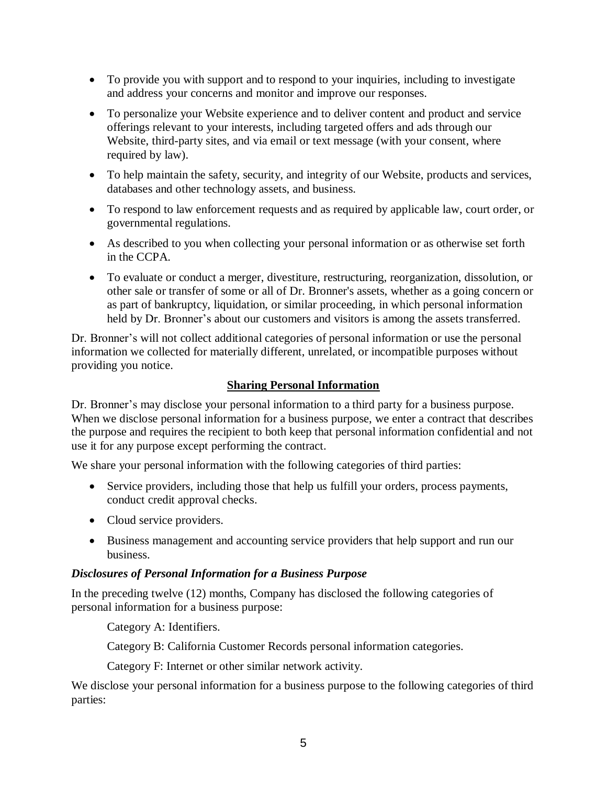- • To provide you with support and to respond to your inquiries, including to investigate and address your concerns and monitor and improve our responses.
- • To personalize your Website experience and to deliver content and product and service offerings relevant to your interests, including targeted offers and ads through our Website, third-party sites, and via email or text message (with your consent, where required by law).
- • To help maintain the safety, security, and integrity of our Website, products and services, databases and other technology assets, and business.
- • To respond to law enforcement requests and as required by applicable law, court order, or governmental regulations.
- • As described to you when collecting your personal information or as otherwise set forth in the CCPA.
- • To evaluate or conduct a merger, divestiture, restructuring, reorganization, dissolution, or other sale or transfer of some or all of Dr. Bronner's assets, whether as a going concern or as part of bankruptcy, liquidation, or similar proceeding, in which personal information held by Dr. Bronner's about our customers and visitors is among the assets transferred.

 Dr. Bronner's will not collect additional categories of personal information or use the personal information we collected for materially different, unrelated, or incompatible purposes without providing you notice.

## **Sharing Personal Information**

 Dr. Bronner's may disclose your personal information to a third party for a business purpose. When we disclose personal information for a business purpose, we enter a contract that describes the purpose and requires the recipient to both keep that personal information confidential and not use it for any purpose except performing the contract.

We share your personal information with the following categories of third parties:

- • Service providers, including those that help us fulfill your orders, process payments, conduct credit approval checks.
- Cloud service providers.
- • Business management and accounting service providers that help support and run our business.

#### *Disclosures of Personal Information for a Business Purpose*

 In the preceding twelve (12) months, Company has disclosed the following categories of personal information for a business purpose:

Category A: Identifiers.

Category B: California Customer Records personal information categories.

Category F: Internet or other similar network activity.

 We disclose your personal information for a business purpose to the following categories of third parties: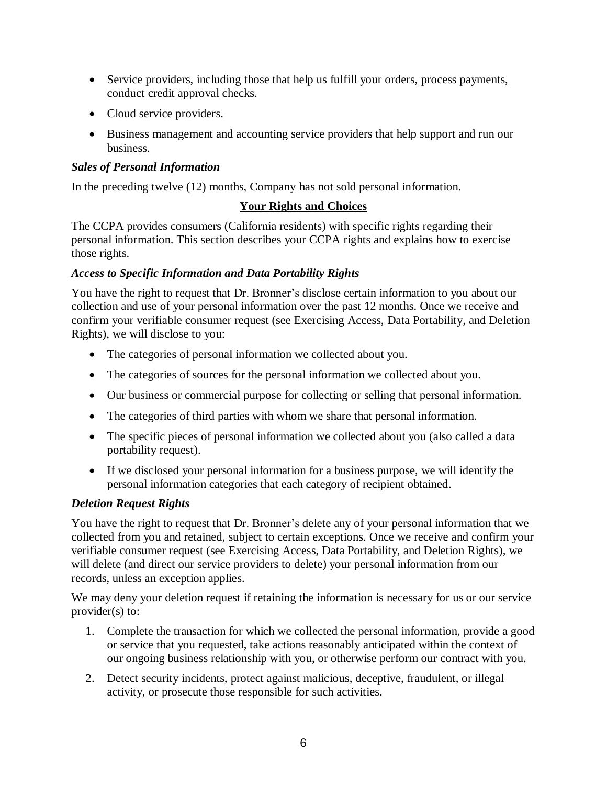- • Service providers, including those that help us fulfill your orders, process payments, conduct credit approval checks.
- Cloud service providers.
- • Business management and accounting service providers that help support and run our business.

## *Sales of Personal Information*

In the preceding twelve (12) months, Company has not sold personal information.

## **Your Rights and Choices**

 The CCPA provides consumers (California residents) with specific rights regarding their personal information. This section describes your CCPA rights and explains how to exercise those rights.

## *Access to Specific Information and Data Portability Rights*

 You have the right to request that Dr. Bronner's disclose certain information to you about our collection and use of your personal information over the past 12 months. Once we receive and confirm your verifiable consumer request (see Exercising Access, Data Portability, and Deletion Rights), we will disclose to you:

- The categories of personal information we collected about you.
- The categories of sources for the personal information we collected about you.
- Our business or commercial purpose for collecting or selling that personal information.
- The categories of third parties with whom we share that personal information.
- • The specific pieces of personal information we collected about you (also called a data portability request).
- • If we disclosed your personal information for a business purpose, we will identify the personal information categories that each category of recipient obtained.

## *Deletion Request Rights*

 You have the right to request that Dr. Bronner's delete any of your personal information that we collected from you and retained, subject to certain exceptions. Once we receive and confirm your verifiable consumer request (see Exercising Access, Data Portability, and Deletion Rights), we will delete (and direct our service providers to delete) your personal information from our records, unless an exception applies.

 We may deny your deletion request if retaining the information is necessary for us or our service provider(s) to:

- 1. Complete the transaction for which we collected the personal information, provide a good or service that you requested, take actions reasonably anticipated within the context of our ongoing business relationship with you, or otherwise perform our contract with you.
- 2. Detect security incidents, protect against malicious, deceptive, fraudulent, or illegal activity, or prosecute those responsible for such activities.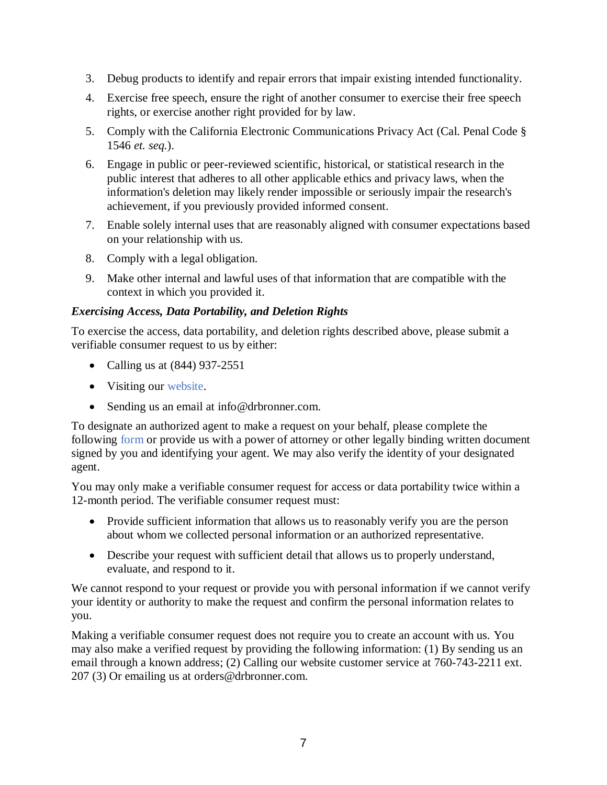- 3. Debug products to identify and repair errors that impair existing intended functionality.
- 4. Exercise free speech, ensure the right of another consumer to exercise their free speech rights, or exercise another right provided for by law.
- 5. Comply with the California Electronic Communications Privacy Act (Cal. Penal Code § 1546 *et. seq.*).
- 6. Engage in public or peer-reviewed scientific, historical, or statistical research in the public interest that adheres to all other applicable ethics and privacy laws, when the information's deletion may likely render impossible or seriously impair the research's achievement, if you previously provided informed consent.
- 7. Enable solely internal uses that are reasonably aligned with consumer expectations based on your relationship with us.
- 8. Comply with a legal obligation.
- 9. Make other internal and lawful uses of that information that are compatible with the context in which you provided it.

## *Exercising Access, Data Portability, and Deletion Rights*

 To exercise the access, data portability, and deletion rights described above, please submit a verifiable consumer request to us by either:

- Calling us at (844) 937-2551
- Visiting our [website.](https://www.drbronner.com/contact/)
- Sending us an email at [info@drbronner.com.](mailto:info@drbronner.com)

 To designate an authorized agent to make a request on your behalf, please complete the following [form](http://www.drbronner.com/wp-content/uploads/2019/12/DOCS-3893654-v1-Dr-Bronners-CCPA-Authorization-Form-V1.pdf) or provide us with a power of attorney or other legally binding written document signed by you and identifying your agent. We may also verify the identity of your designated agent.

 You may only make a verifiable consumer request for access or data portability twice within a 12-month period. The verifiable consumer request must:

- • Provide sufficient information that allows us to reasonably verify you are the person about whom we collected personal information or an authorized representative.
- • Describe your request with sufficient detail that allows us to properly understand, evaluate, and respond to it.

 We cannot respond to your request or provide you with personal information if we cannot verify your identity or authority to make the request and confirm the personal information relates to you.

 Making a verifiable consumer request does not require you to create an account with us. You may also make a verified request by providing the following information: (1) By sending us an email through a known address; (2) Calling our website customer service at 760-743-2211 ext. 207 (3) Or emailing us at [orders@drbronner.com.](mailto:orders@drbronner.com)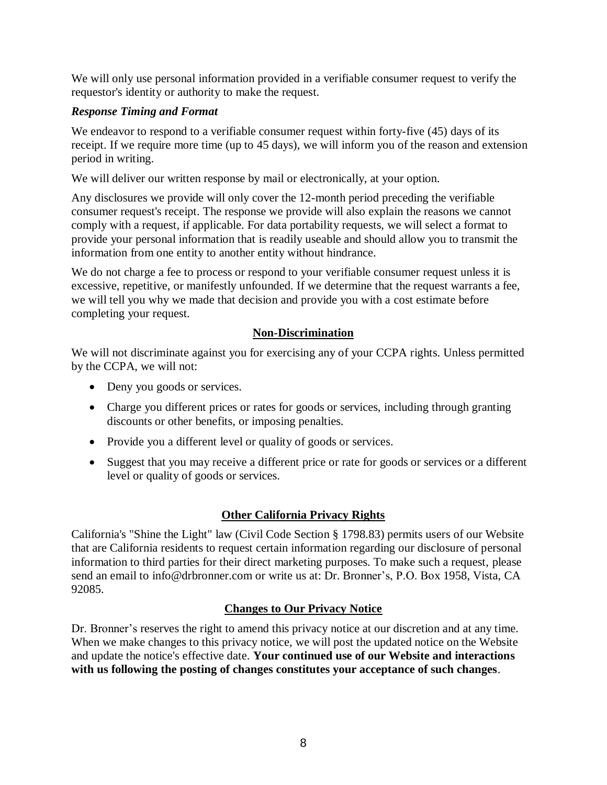We will only use personal information provided in a verifiable consumer request to verify the requestor's identity or authority to make the request.

#### *Response Timing and Format*

 We endeavor to respond to a verifiable consumer request within forty-five (45) days of its receipt. If we require more time (up to 45 days), we will inform you of the reason and extension period in writing.

We will deliver our written response by mail or electronically, at your option.

 Any disclosures we provide will only cover the 12-month period preceding the verifiable consumer request's receipt. The response we provide will also explain the reasons we cannot comply with a request, if applicable. For data portability requests, we will select a format to provide your personal information that is readily useable and should allow you to transmit the information from one entity to another entity without hindrance.

 We do not charge a fee to process or respond to your verifiable consumer request unless it is excessive, repetitive, or manifestly unfounded. If we determine that the request warrants a fee, we will tell you why we made that decision and provide you with a cost estimate before completing your request.

## **Non-Discrimination**

 We will not discriminate against you for exercising any of your CCPA rights. Unless permitted by the CCPA, we will not:

- Deny you goods or services.
- • Charge you different prices or rates for goods or services, including through granting discounts or other benefits, or imposing penalties.
- Provide you a different level or quality of goods or services.
- • Suggest that you may receive a different price or rate for goods or services or a different level or quality of goods or services.

## **Other California Privacy Rights**

 California's "Shine the Light" law (Civil Code Section § 1798.83) permits users of our Website that are California residents to request certain information regarding our disclosure of personal information to third parties for their direct marketing purposes. To make such a request, please send an email to [info@drbronner.com](mailto:info@drbronner.com) or write us at: Dr. Bronner's, P.O. Box 1958, Vista, CA 92085.

## **Changes to Our Privacy Notice**

 Dr. Bronner's reserves the right to amend this privacy notice at our discretion and at any time. When we make changes to this privacy notice, we will post the updated notice on the Website and update the notice's effective date. **Your continued use of our Website and interactions with us following the posting of changes constitutes your acceptance of such changes**.